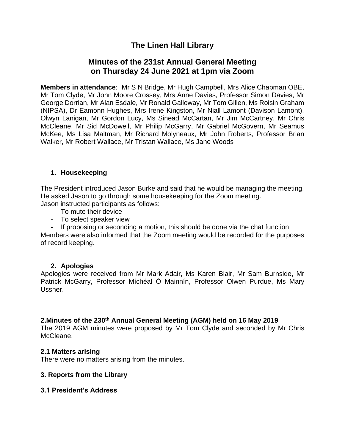# **The Linen Hall Library**

## **Minutes of the 231st Annual General Meeting on Thursday 24 June 2021 at 1pm via Zoom**

**Members in attendance**: Mr S N Bridge, Mr Hugh Campbell, Mrs Alice Chapman OBE, Mr Tom Clyde, Mr John Moore Crossey, Mrs Anne Davies, Professor Simon Davies, Mr George Dorrian, Mr Alan Esdale, Mr Ronald Galloway, Mr Tom Gillen, Ms Roisin Graham (NIPSA), Dr Eamonn Hughes, Mrs Irene Kingston, Mr Niall Lamont (Davison Lamont), Olwyn Lanigan, Mr Gordon Lucy, Ms Sinead McCartan, Mr Jim McCartney, Mr Chris McCleane, Mr Sid McDowell, Mr Philip McGarry, Mr Gabriel McGovern, Mr Seamus McKee, Ms Lisa Maltman, Mr Richard Molyneaux, Mr John Roberts, Professor Brian Walker, Mr Robert Wallace, Mr Tristan Wallace, Ms Jane Woods

### **1. Housekeeping**

The President introduced Jason Burke and said that he would be managing the meeting. He asked Jason to go through some housekeeping for the Zoom meeting. Jason instructed participants as follows:

- To mute their device
- To select speaker view
- If proposing or seconding a motion, this should be done via the chat function

Members were also informed that the Zoom meeting would be recorded for the purposes of record keeping.

#### **2. Apologies**

Apologies were received from Mr Mark Adair, Ms Karen Blair, Mr Sam Burnside, Mr Patrick McGarry, Professor Míchéal Ó Mainnín, Professor Olwen Purdue, Ms Mary Ussher.

## **2.Minutes of the 230th Annual General Meeting (AGM) held on 16 May 2019**

The 2019 AGM minutes were proposed by Mr Tom Clyde and seconded by Mr Chris McCleane.

#### **2.1 Matters arising**

There were no matters arising from the minutes.

#### **3. Reports from the Library**

#### **3.1 President's Address**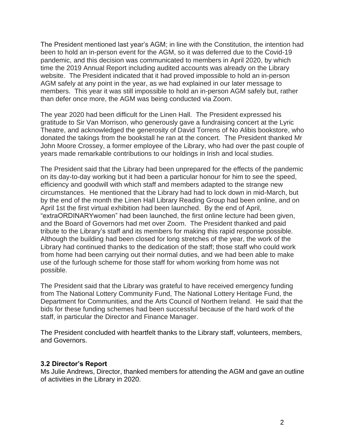The President mentioned last year's AGM; in line with the Constitution, the intention had been to hold an in-person event for the AGM, so it was deferred due to the Covid-19 pandemic, and this decision was communicated to members in April 2020, by which time the 2019 Annual Report including audited accounts was already on the Library website. The President indicated that it had proved impossible to hold an in-person AGM safely at any point in the year, as we had explained in our later message to members. This year it was still impossible to hold an in-person AGM safely but, rather than defer once more, the AGM was being conducted via Zoom.

The year 2020 had been difficult for the Linen Hall. The President expressed his gratitude to Sir Van Morrison, who generously gave a fundraising concert at the Lyric Theatre, and acknowledged the generosity of David Torrens of No Alibis bookstore, who donated the takings from the bookstall he ran at the concert. The President thanked Mr John Moore Crossey, a former employee of the Library, who had over the past couple of years made remarkable contributions to our holdings in Irish and local studies.

The President said that the Library had been unprepared for the effects of the pandemic on its day-to-day working but it had been a particular honour for him to see the speed, efficiency and goodwill with which staff and members adapted to the strange new circumstances. He mentioned that the Library had had to lock down in mid-March, but by the end of the month the Linen Hall Library Reading Group had been online, and on April 1st the first virtual exhibition had been launched. By the end of April, "extraORDINARYwomen" had been launched, the first online lecture had been given, and the Board of Governors had met over Zoom. The President thanked and paid tribute to the Library's staff and its members for making this rapid response possible. Although the building had been closed for long stretches of the year, the work of the Library had continued thanks to the dedication of the staff; those staff who could work from home had been carrying out their normal duties, and we had been able to make use of the furlough scheme for those staff for whom working from home was not possible.

The President said that the Library was grateful to have received emergency funding from The National Lottery Community Fund, The National Lottery Heritage Fund, the Department for Communities, and the Arts Council of Northern Ireland. He said that the bids for these funding schemes had been successful because of the hard work of the staff, in particular the Director and Finance Manager.

The President concluded with heartfelt thanks to the Library staff, volunteers, members, and Governors.

#### **3.2 Director's Report**

Ms Julie Andrews, Director, thanked members for attending the AGM and gave an outline of activities in the Library in 2020.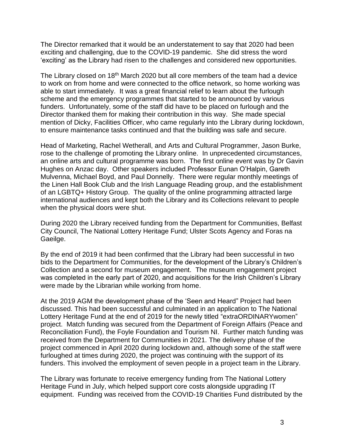The Director remarked that it would be an understatement to say that 2020 had been exciting and challenging, due to the COVID-19 pandemic. She did stress the word 'exciting' as the Library had risen to the challenges and considered new opportunities.

The Library closed on 18<sup>th</sup> March 2020 but all core members of the team had a device to work on from home and were connected to the office network, so home working was able to start immediately. It was a great financial relief to learn about the furlough scheme and the emergency programmes that started to be announced by various funders. Unfortunately, some of the staff did have to be placed on furlough and the Director thanked them for making their contribution in this way. She made special mention of Dicky, Facilities Officer, who came regularly into the Library during lockdown, to ensure maintenance tasks continued and that the building was safe and secure.

Head of Marketing, Rachel Wetherall, and Arts and Cultural Programmer, Jason Burke, rose to the challenge of promoting the Library online. In unprecedented circumstances, an online arts and cultural programme was born. The first online event was by Dr Gavin Hughes on Anzac day. Other speakers included Professor Eunan O'Halpin, Gareth Mulvenna, Michael Boyd, and Paul Donnelly. There were regular monthly meetings of the Linen Hall Book Club and the Irish Language Reading group, and the establishment of an LGBTQ+ History Group. The quality of the online programming attracted large international audiences and kept both the Library and its Collections relevant to people when the physical doors were shut.

During 2020 the Library received funding from the Department for Communities, Belfast City Council, The National Lottery Heritage Fund; Ulster Scots Agency and Foras na Gaeilge.

By the end of 2019 it had been confirmed that the Library had been successful in two bids to the Department for Communities, for the development of the Library's Children's Collection and a second for museum engagement. The museum engagement project was completed in the early part of 2020, and acquisitions for the Irish Children's Library were made by the Librarian while working from home.

At the 2019 AGM the development phase of the 'Seen and Heard" Project had been discussed. This had been successful and culminated in an application to The National Lottery Heritage Fund at the end of 2019 for the newly titled "extraORDINARYwomen" project. Match funding was secured from the Department of Foreign Affairs (Peace and Reconciliation Fund), the Foyle Foundation and Tourism NI. Further match funding was received from the Department for Communities in 2021. The delivery phase of the project commenced in April 2020 during lockdown and, although some of the staff were furloughed at times during 2020, the project was continuing with the support of its funders. This involved the employment of seven people in a project team in the Library.

The Library was fortunate to receive emergency funding from The National Lottery Heritage Fund in July, which helped support core costs alongside upgrading IT equipment. Funding was received from the COVID-19 Charities Fund distributed by the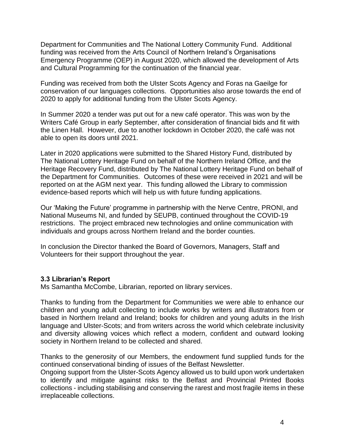Department for Communities and The National Lottery Community Fund. Additional funding was received from the Arts Council of Northern Ireland's Organisations Emergency Programme (OEP) in August 2020, which allowed the development of Arts and Cultural Programming for the continuation of the financial year.

Funding was received from both the Ulster Scots Agency and Foras na Gaeilge for conservation of our languages collections. Opportunities also arose towards the end of 2020 to apply for additional funding from the Ulster Scots Agency.

In Summer 2020 a tender was put out for a new café operator. This was won by the Writers Café Group in early September, after consideration of financial bids and fit with the Linen Hall. However, due to another lockdown in October 2020, the café was not able to open its doors until 2021.

Later in 2020 applications were submitted to the Shared History Fund, distributed by The National Lottery Heritage Fund on behalf of the Northern Ireland Office, and the Heritage Recovery Fund, distributed by The National Lottery Heritage Fund on behalf of the Department for Communities. Outcomes of these were received in 2021 and will be reported on at the AGM next year. This funding allowed the Library to commission evidence-based reports which will help us with future funding applications.

Our 'Making the Future' programme in partnership with the Nerve Centre, PRONI, and National Museums NI, and funded by SEUPB, continued throughout the COVID-19 restrictions. The project embraced new technologies and online communication with individuals and groups across Northern Ireland and the border counties.

In conclusion the Director thanked the Board of Governors, Managers, Staff and Volunteers for their support throughout the year.

#### **3.3 Librarian's Report**

Ms Samantha McCombe, Librarian, reported on library services.

Thanks to funding from the Department for Communities we were able to enhance our children and young adult collecting to include works by writers and illustrators from or based in Northern Ireland and Ireland; books for children and young adults in the Irish language and Ulster-Scots; and from writers across the world which celebrate inclusivity and diversity allowing voices which reflect a modern, confident and outward looking society in Northern Ireland to be collected and shared.

Thanks to the generosity of our Members, the endowment fund supplied funds for the continued conservational binding of issues of the Belfast Newsletter.

Ongoing support from the Ulster-Scots Agency allowed us to build upon work undertaken to identify and mitigate against risks to the Belfast and Provincial Printed Books collections - including stabilising and conserving the rarest and most fragile items in these irreplaceable collections.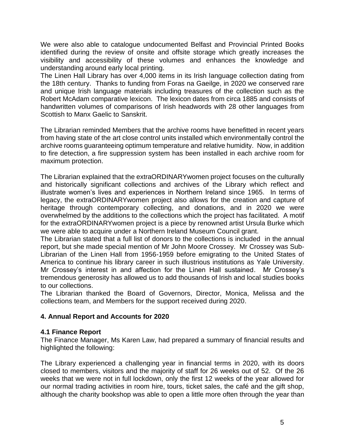We were also able to catalogue undocumented Belfast and Provincial Printed Books identified during the review of onsite and offsite storage which greatly increases the visibility and accessibility of these volumes and enhances the knowledge and understanding around early local printing.

The Linen Hall Library has over 4,000 items in its Irish language collection dating from the 18th century. Thanks to funding from Foras na Gaeilge, in 2020 we conserved rare and unique Irish language materials including treasures of the collection such as the Robert McAdam comparative lexicon. The lexicon dates from circa 1885 and consists of handwritten volumes of comparisons of Irish headwords with 28 other languages from Scottish to Manx Gaelic to Sanskrit.

The Librarian reminded Members that the archive rooms have benefitted in recent years from having state of the art close control units installed which environmentally control the archive rooms guaranteeing optimum temperature and relative humidity. Now, in addition to fire detection, a fire suppression system has been installed in each archive room for maximum protection.

The Librarian explained that the extraORDINARYwomen project focuses on the culturally and historically significant collections and archives of the Library which reflect and illustrate women's lives and experiences in Northern Ireland since 1965. In terms of legacy, the extraORDINARYwomen project also allows for the creation and capture of heritage through contemporary collecting, and donations, and in 2020 we were overwhelmed by the additions to the collections which the project has facilitated. A motif for the extraORDINARYwomen project is a piece by renowned artist Ursula Burke which we were able to acquire under a Northern Ireland Museum Council grant.

The Librarian stated that a full list of donors to the collections is included in the annual report, but she made special mention of Mr John Moore Crossey. Mr Crossey was Sub-Librarian of the Linen Hall from 1956-1959 before emigrating to the United States of America to continue his library career in such illustrious institutions as Yale University. Mr Crossey's interest in and affection for the Linen Hall sustained. Mr Crossey's tremendous generosity has allowed us to add thousands of Irish and local studies books to our collections.

The Librarian thanked the Board of Governors, Director, Monica, Melissa and the collections team, and Members for the support received during 2020.

## **4. Annual Report and Accounts for 2020**

#### **4.1 Finance Report**

The Finance Manager, Ms Karen Law, had prepared a summary of financial results and highlighted the following:

The Library experienced a challenging year in financial terms in 2020, with its doors closed to members, visitors and the majority of staff for 26 weeks out of 52. Of the 26 weeks that we were not in full lockdown, only the first 12 weeks of the year allowed for our normal trading activities in room hire, tours, ticket sales, the café and the gift shop, although the charity bookshop was able to open a little more often through the year than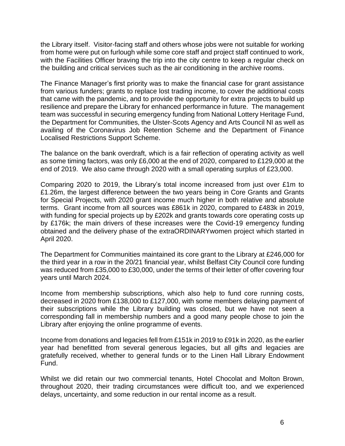the Library itself. Visitor-facing staff and others whose jobs were not suitable for working from home were put on furlough while some core staff and project staff continued to work, with the Facilities Officer braving the trip into the city centre to keep a regular check on the building and critical services such as the air conditioning in the archive rooms.

The Finance Manager's first priority was to make the financial case for grant assistance from various funders; grants to replace lost trading income, to cover the additional costs that came with the pandemic, and to provide the opportunity for extra projects to build up resilience and prepare the Library for enhanced performance in future. The management team was successful in securing emergency funding from National Lottery Heritage Fund, the Department for Communities, the Ulster-Scots Agency and Arts Council NI as well as availing of the Coronavirus Job Retention Scheme and the Department of Finance Localised Restrictions Support Scheme.

The balance on the bank overdraft, which is a fair reflection of operating activity as well as some timing factors, was only £6,000 at the end of 2020, compared to £129,000 at the end of 2019. We also came through 2020 with a small operating surplus of £23,000.

Comparing 2020 to 2019, the Library's total income increased from just over £1m to £1.26m, the largest difference between the two years being in Core Grants and Grants for Special Projects, with 2020 grant income much higher in both relative and absolute terms. Grant income from all sources was £861k in 2020, compared to £483k in 2019, with funding for special projects up by £202k and grants towards core operating costs up by £176k; the main drivers of these increases were the Covid-19 emergency funding obtained and the delivery phase of the extraORDINARYwomen project which started in April 2020.

The Department for Communities maintained its core grant to the Library at £246,000 for the third year in a row in the 20/21 financial year, whilst Belfast City Council core funding was reduced from £35,000 to £30,000, under the terms of their letter of offer covering four years until March 2024.

Income from membership subscriptions, which also help to fund core running costs, decreased in 2020 from £138,000 to £127,000, with some members delaying payment of their subscriptions while the Library building was closed, but we have not seen a corresponding fall in membership numbers and a good many people chose to join the Library after enjoying the online programme of events.

Income from donations and legacies fell from £151k in 2019 to £91k in 2020, as the earlier year had benefitted from several generous legacies, but all gifts and legacies are gratefully received, whether to general funds or to the Linen Hall Library Endowment Fund.

Whilst we did retain our two commercial tenants, Hotel Chocolat and Molton Brown, throughout 2020, their trading circumstances were difficult too, and we experienced delays, uncertainty, and some reduction in our rental income as a result.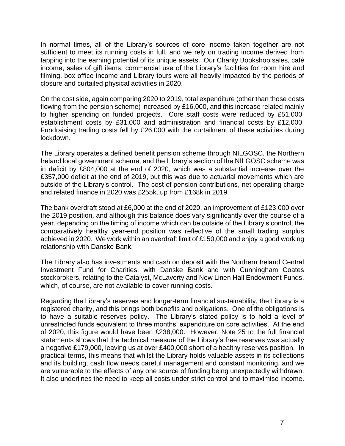In normal times, all of the Library's sources of core income taken together are not sufficient to meet its running costs in full, and we rely on trading income derived from tapping into the earning potential of its unique assets. Our Charity Bookshop sales, café income, sales of gift items, commercial use of the Library's facilities for room hire and filming, box office income and Library tours were all heavily impacted by the periods of closure and curtailed physical activities in 2020.

On the cost side, again comparing 2020 to 2019, total expenditure (other than those costs flowing from the pension scheme) increased by £16,000, and this increase related mainly to higher spending on funded projects. Core staff costs were reduced by £51,000, establishment costs by £31,000 and administration and financial costs by £12,000. Fundraising trading costs fell by £26,000 with the curtailment of these activities during lockdown.

The Library operates a defined benefit pension scheme through NILGOSC, the Northern Ireland local government scheme, and the Library's section of the NILGOSC scheme was in deficit by £804,000 at the end of 2020, which was a substantial increase over the £357,000 deficit at the end of 2019, but this was due to actuarial movements which are outside of the Library's control. The cost of pension contributions, net operating charge and related finance in 2020 was £255k, up from £168k in 2019.

The bank overdraft stood at £6,000 at the end of 2020, an improvement of £123,000 over the 2019 position, and although this balance does vary significantly over the course of a year, depending on the timing of income which can be outside of the Library's control, the comparatively healthy year-end position was reflective of the small trading surplus achieved in 2020. We work within an overdraft limit of £150,000 and enjoy a good working relationship with Danske Bank.

The Library also has investments and cash on deposit with the Northern Ireland Central Investment Fund for Charities, with Danske Bank and with Cunningham Coates stockbrokers, relating to the Catalyst, McLaverty and New Linen Hall Endowment Funds, which, of course, are not available to cover running costs.

Regarding the Library's reserves and longer-term financial sustainability, the Library is a registered charity, and this brings both benefits and obligations. One of the obligations is to have a suitable reserves policy. The Library's stated policy is to hold a level of unrestricted funds equivalent to three months' expenditure on core activities. At the end of 2020, this figure would have been £238,000. However, Note 25 to the full financial statements shows that the technical measure of the Library's free reserves was actually a negative £179,000, leaving us at over £400,000 short of a healthy reserves position. In practical terms, this means that whilst the Library holds valuable assets in its collections and its building, cash flow needs careful management and constant monitoring, and we are vulnerable to the effects of any one source of funding being unexpectedly withdrawn. It also underlines the need to keep all costs under strict control and to maximise income.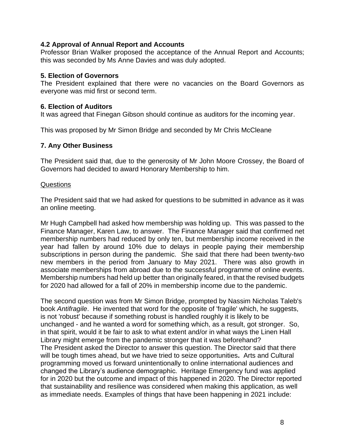#### **4.2 Approval of Annual Report and Accounts**

Professor Brian Walker proposed the acceptance of the Annual Report and Accounts; this was seconded by Ms Anne Davies and was duly adopted.

#### **5. Election of Governors**

The President explained that there were no vacancies on the Board Governors as everyone was mid first or second term.

#### **6. Election of Auditors**

It was agreed that Finegan Gibson should continue as auditors for the incoming year.

This was proposed by Mr Simon Bridge and seconded by Mr Chris McCleane

#### **7. Any Other Business**

The President said that, due to the generosity of Mr John Moore Crossey, the Board of Governors had decided to award Honorary Membership to him.

#### Questions

The President said that we had asked for questions to be submitted in advance as it was an online meeting.

Mr Hugh Campbell had asked how membership was holding up. This was passed to the Finance Manager, Karen Law, to answer. The Finance Manager said that confirmed net membership numbers had reduced by only ten, but membership income received in the year had fallen by around 10% due to delays in people paying their membership subscriptions in person during the pandemic. She said that there had been twenty-two new members in the period from January to May 2021. There was also growth in associate memberships from abroad due to the successful programme of online events. Membership numbers had held up better than originally feared, in that the revised budgets for 2020 had allowed for a fall of 20% in membership income due to the pandemic.

The second question was from Mr Simon Bridge, prompted by Nassim Nicholas Taleb's book *Antifragile*. He invented that word for the opposite of 'fragile' which, he suggests, is not 'robust' because if something robust is handled roughly it is likely to be unchanged - and he wanted a word for something which, as a result, got stronger. So, in that spirit, would it be fair to ask to what extent and/or in what ways the Linen Hall Library might emerge from the pandemic stronger that it was beforehand? The President asked the Director to answer this question. The Director said that there will be tough times ahead, but we have tried to seize opportunities**.** Arts and Cultural programming moved us forward unintentionally to online international audiences and changed the Library's audience demographic. Heritage Emergency fund was applied for in 2020 but the outcome and impact of this happened in 2020. The Director reported that sustainability and resilience was considered when making this application, as well as immediate needs. Examples of things that have been happening in 2021 include: